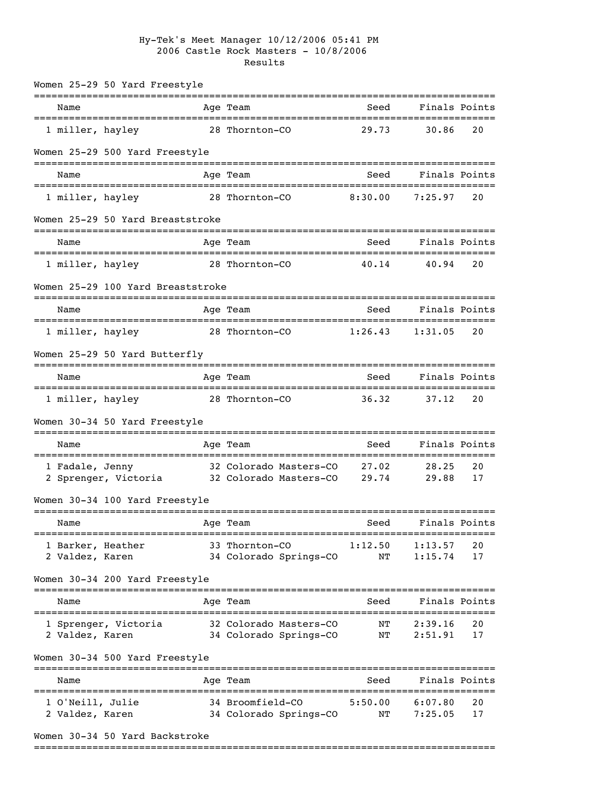## Hy-Tek's Meet Manager 10/12/2006 05:41 PM 2006 Castle Rock Masters - 10/8/2006 Results

|                   | Women 25-29 50 Yard Freestyle          |                                                        |         |                                   |    |
|-------------------|----------------------------------------|--------------------------------------------------------|---------|-----------------------------------|----|
| Name              |                                        | Age Team                                               | Seed    | Finals Points                     |    |
| 1 miller, hayley  |                                        | 28 Thornton-CO                                         | 29.73   | 30.86                             | 20 |
|                   | Women 25-29 500 Yard Freestyle         |                                                        |         |                                   |    |
| Name              |                                        | Age Team                                               | Seed    | Finals Points                     |    |
| 1 miller, hayley  |                                        | 28 Thornton-CO                                         | 8:30.00 | 7:25.97                           | 20 |
|                   | Women 25-29 50 Yard Breaststroke       |                                                        |         |                                   |    |
| Name              |                                        | Age Team                                               | Seed    | Finals Points                     |    |
| 1 miller, hayley  | ====================================== | ;===================================<br>28 Thornton-CO | 40.14   | 40.94                             | 20 |
|                   | Women 25-29 100 Yard Breaststroke      |                                                        |         |                                   |    |
| Name              |                                        | Age Team                                               | Seed    | Finals Points                     |    |
| 1 miller, hayley  |                                        | 28 Thornton-CO                                         | 1:26.43 | 1:31.05                           | 20 |
|                   | Women 25-29 50 Yard Butterfly          |                                                        |         |                                   |    |
| Name              |                                        | Age Team                                               | Seed    | Finals Points                     |    |
| 1 miller, hayley  | ===================================    | 28 Thornton-CO                                         | 36.32   | 37.12                             | 20 |
|                   | Women 30-34 50 Yard Freestyle          |                                                        |         |                                   |    |
| Name              |                                        | Age Team                                               | Seed    | ----------------<br>Finals Points |    |
| 1 Fadale, Jenny   |                                        | 32 Colorado Masters-CO 27.02                           |         | 28.25                             | 20 |
|                   | 2 Sprenger, Victoria                   | 32 Colorado Masters-CO                                 | 29.74   | 29.88                             | 17 |
|                   | Women 30-34 100 Yard Freestyle         |                                                        |         |                                   |    |
| Name              |                                        | Aqe Team                                               | Seed    | Finals Points                     |    |
| 1 Barker, Heather | ------------------------               | 33 Thornton-CO                                         | 1:12.50 | 1:13.57                           | 20 |
| 2 Valdez, Karen   |                                        | 34 Colorado Springs-CO                                 | NΤ      | 1:15.74                           | 17 |
|                   | Women 30-34 200 Yard Freestyle         |                                                        |         |                                   |    |
| Name              |                                        | Age Team                                               | Seed    | Finals Points                     |    |
|                   | 1 Sprenger, Victoria                   | 32 Colorado Masters-CO                                 | ΝT      | 2:39.16                           | 20 |
| 2 Valdez, Karen   |                                        | 34 Colorado Springs-CO                                 | NT      | 2:51.91                           | 17 |
|                   | Women 30-34 500 Yard Freestyle         |                                                        |         |                                   |    |
| Name              |                                        | =========<br>Age Team                                  | Seed    | Finals Points                     |    |
| 1 O'Neill, Julie  |                                        | 34 Broomfield-CO                                       | 5:50.00 | 6:07.80                           | 20 |
| 2 Valdez, Karen   |                                        | 34 Colorado Springs-CO                                 | NT      | 7:25.05                           | 17 |
|                   | Women 30-34 50 Yard Backstroke         |                                                        |         |                                   |    |
|                   |                                        |                                                        |         |                                   |    |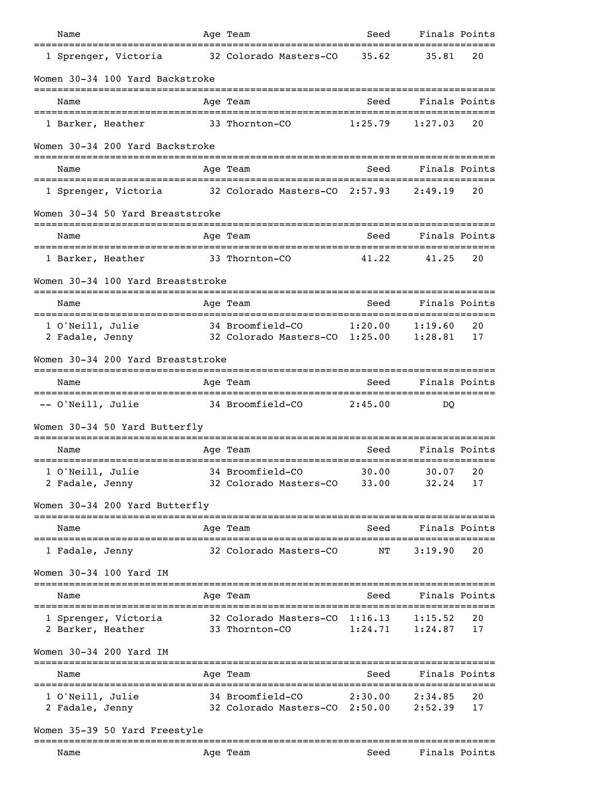| Name                                             |          | Age Team                                           | Seed           | Finals Points                      |          |
|--------------------------------------------------|----------|----------------------------------------------------|----------------|------------------------------------|----------|
| 1 Sprenger, Victoria                             |          | 32 Colorado Masters-CO                             | 35.62          | 35.81                              | 20       |
| Women 30-34 100 Yard Backstroke                  |          |                                                    |                |                                    |          |
| Name                                             |          | Age Team                                           | Seed           | Finals Points                      |          |
| 1 Barker, Heather                                |          | 33 Thornton-CO                                     | 1:25.79        | 1:27.03                            | 20       |
| Women 30-34 200 Yard Backstroke                  |          |                                                    |                |                                    |          |
| Name                                             |          | Age Team                                           | Seed           | Finals Points                      |          |
| 1 Sprenger, Victoria                             |          | 32 Colorado Masters-CO 2:57.93                     |                | 2:49.19                            | 20       |
| Women 30-34 50 Yard Breaststroke                 |          | ---------                                          |                |                                    |          |
| Name                                             |          | Age Team                                           | Seed           | Finals Points                      |          |
| ===========================<br>1 Barker, Heather |          | 33 Thornton-CO                                     | 41.22          | 41.25                              | 20       |
| Women 30-34 100 Yard Breaststroke                |          |                                                    |                |                                    |          |
| Name                                             |          | Age Team                                           | Seed           | Finals Points                      |          |
| 1 O'Neill, Julie                                 |          | 34 Broomfield-CO                                   | 1:20.00        | 1:19.60                            | 20       |
| 2 Fadale, Jenny                                  |          | 32 Colorado Masters-CO 1:25.00                     |                | 1:28.81                            | 17       |
| Women 30-34 200 Yard Breaststroke                |          |                                                    |                |                                    |          |
| Name                                             |          | Age Team                                           | Seed           | Finals Points                      |          |
| -- O'Neill, Julie                                |          | 34 Broomfield-CO                                   | 2:45.00        | DO                                 |          |
| Women 30-34 50 Yard Butterfly                    |          |                                                    |                |                                    |          |
| Name                                             | ======== | Age Team                                           | Seed           | Finals Points                      |          |
| 1 O'Neill, Julie                                 |          | 34 Broomfield-CO<br>32 Colorado Masters-CO         | 30.00<br>33.00 | 30.07<br>32.24                     | 20<br>17 |
| 2 Fadale, Jenny                                  |          |                                                    |                |                                    |          |
| Women 30-34 200 Yard Butterfly                   |          | :============                                      |                |                                    |          |
| Name                                             |          | Age Team                                           | Seed           | Finals Points                      |          |
| 1 Fadale, Jenny                                  |          | 32 Colorado Masters-CO                             | NΤ             | 3:19.90                            | 20       |
| Women 30-34 100 Yard IM                          |          |                                                    |                |                                    |          |
| Name                                             |          | Age Team                                           | Seed           | Finals Points                      |          |
| 1 Sprenger, Victoria                             |          | 32 Colorado Masters-CO 1:16.13                     |                | 1:15.52                            | 20       |
| 2 Barker, Heather                                |          | 33 Thornton-CO                                     | 1:24.71        | 1:24.87                            | 17       |
| Women 30-34 200 Yard IM                          |          |                                                    |                |                                    |          |
| Name                                             |          | Age Team                                           | Seed           | Finals Points<br>================= |          |
| 1 O'Neill, Julie<br>2 Fadale, Jenny              |          | 34 Broomfield-CO<br>32 Colorado Masters-CO 2:50.00 | 2:30.00        | 2:34.85<br>2:52.39                 | 20<br>17 |
| Women 35-39 50 Yard Freestyle                    |          |                                                    |                |                                    |          |
|                                                  |          | ==========                                         |                | ;=======================           |          |
| Name                                             |          | Age Team                                           | Seed           | Finals Points                      |          |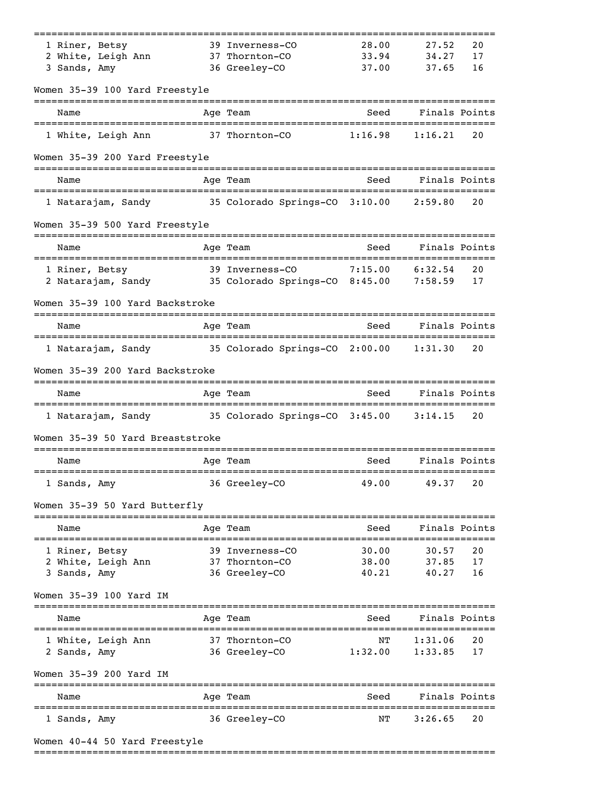| 39 Inverness-CO                                                                                                                                                                                                                                                                                      | 28.00<br>33.94                                                                                                                                                                                                                                                                                                              | 27.52                                                                                                                                                                                | 20                                                                                                                                                                                                                                        |
|------------------------------------------------------------------------------------------------------------------------------------------------------------------------------------------------------------------------------------------------------------------------------------------------------|-----------------------------------------------------------------------------------------------------------------------------------------------------------------------------------------------------------------------------------------------------------------------------------------------------------------------------|--------------------------------------------------------------------------------------------------------------------------------------------------------------------------------------|-------------------------------------------------------------------------------------------------------------------------------------------------------------------------------------------------------------------------------------------|
|                                                                                                                                                                                                                                                                                                      |                                                                                                                                                                                                                                                                                                                             |                                                                                                                                                                                      |                                                                                                                                                                                                                                           |
| 37 Thornton-CO                                                                                                                                                                                                                                                                                       |                                                                                                                                                                                                                                                                                                                             | 34.27                                                                                                                                                                                | 17                                                                                                                                                                                                                                        |
|                                                                                                                                                                                                                                                                                                      |                                                                                                                                                                                                                                                                                                                             |                                                                                                                                                                                      | 16                                                                                                                                                                                                                                        |
|                                                                                                                                                                                                                                                                                                      |                                                                                                                                                                                                                                                                                                                             |                                                                                                                                                                                      |                                                                                                                                                                                                                                           |
|                                                                                                                                                                                                                                                                                                      | Seed                                                                                                                                                                                                                                                                                                                        |                                                                                                                                                                                      |                                                                                                                                                                                                                                           |
|                                                                                                                                                                                                                                                                                                      | 1:16.98                                                                                                                                                                                                                                                                                                                     |                                                                                                                                                                                      | 20                                                                                                                                                                                                                                        |
|                                                                                                                                                                                                                                                                                                      |                                                                                                                                                                                                                                                                                                                             |                                                                                                                                                                                      |                                                                                                                                                                                                                                           |
|                                                                                                                                                                                                                                                                                                      | Seed                                                                                                                                                                                                                                                                                                                        |                                                                                                                                                                                      |                                                                                                                                                                                                                                           |
|                                                                                                                                                                                                                                                                                                      |                                                                                                                                                                                                                                                                                                                             |                                                                                                                                                                                      | 20                                                                                                                                                                                                                                        |
|                                                                                                                                                                                                                                                                                                      |                                                                                                                                                                                                                                                                                                                             |                                                                                                                                                                                      |                                                                                                                                                                                                                                           |
|                                                                                                                                                                                                                                                                                                      | Seed                                                                                                                                                                                                                                                                                                                        |                                                                                                                                                                                      |                                                                                                                                                                                                                                           |
|                                                                                                                                                                                                                                                                                                      |                                                                                                                                                                                                                                                                                                                             |                                                                                                                                                                                      | 20                                                                                                                                                                                                                                        |
|                                                                                                                                                                                                                                                                                                      |                                                                                                                                                                                                                                                                                                                             |                                                                                                                                                                                      | 17                                                                                                                                                                                                                                        |
|                                                                                                                                                                                                                                                                                                      |                                                                                                                                                                                                                                                                                                                             |                                                                                                                                                                                      |                                                                                                                                                                                                                                           |
|                                                                                                                                                                                                                                                                                                      | Seed                                                                                                                                                                                                                                                                                                                        |                                                                                                                                                                                      |                                                                                                                                                                                                                                           |
|                                                                                                                                                                                                                                                                                                      |                                                                                                                                                                                                                                                                                                                             |                                                                                                                                                                                      | 20                                                                                                                                                                                                                                        |
|                                                                                                                                                                                                                                                                                                      |                                                                                                                                                                                                                                                                                                                             |                                                                                                                                                                                      |                                                                                                                                                                                                                                           |
|                                                                                                                                                                                                                                                                                                      | Seed                                                                                                                                                                                                                                                                                                                        |                                                                                                                                                                                      |                                                                                                                                                                                                                                           |
|                                                                                                                                                                                                                                                                                                      |                                                                                                                                                                                                                                                                                                                             |                                                                                                                                                                                      | 20                                                                                                                                                                                                                                        |
|                                                                                                                                                                                                                                                                                                      |                                                                                                                                                                                                                                                                                                                             |                                                                                                                                                                                      |                                                                                                                                                                                                                                           |
|                                                                                                                                                                                                                                                                                                      | Seed                                                                                                                                                                                                                                                                                                                        |                                                                                                                                                                                      |                                                                                                                                                                                                                                           |
|                                                                                                                                                                                                                                                                                                      | 49.00                                                                                                                                                                                                                                                                                                                       | 49.37                                                                                                                                                                                | 20                                                                                                                                                                                                                                        |
|                                                                                                                                                                                                                                                                                                      |                                                                                                                                                                                                                                                                                                                             |                                                                                                                                                                                      |                                                                                                                                                                                                                                           |
|                                                                                                                                                                                                                                                                                                      | Seed                                                                                                                                                                                                                                                                                                                        |                                                                                                                                                                                      |                                                                                                                                                                                                                                           |
|                                                                                                                                                                                                                                                                                                      | 30.00                                                                                                                                                                                                                                                                                                                       | 30.57                                                                                                                                                                                | 20                                                                                                                                                                                                                                        |
|                                                                                                                                                                                                                                                                                                      | 38.00                                                                                                                                                                                                                                                                                                                       | 37.85                                                                                                                                                                                | 17                                                                                                                                                                                                                                        |
|                                                                                                                                                                                                                                                                                                      |                                                                                                                                                                                                                                                                                                                             |                                                                                                                                                                                      | 16                                                                                                                                                                                                                                        |
|                                                                                                                                                                                                                                                                                                      |                                                                                                                                                                                                                                                                                                                             |                                                                                                                                                                                      |                                                                                                                                                                                                                                           |
|                                                                                                                                                                                                                                                                                                      | Seed                                                                                                                                                                                                                                                                                                                        |                                                                                                                                                                                      |                                                                                                                                                                                                                                           |
|                                                                                                                                                                                                                                                                                                      | ΝT                                                                                                                                                                                                                                                                                                                          | 1:31.06                                                                                                                                                                              | 20                                                                                                                                                                                                                                        |
|                                                                                                                                                                                                                                                                                                      | 1:32.00                                                                                                                                                                                                                                                                                                                     | 1:33.85                                                                                                                                                                              | 17                                                                                                                                                                                                                                        |
|                                                                                                                                                                                                                                                                                                      |                                                                                                                                                                                                                                                                                                                             |                                                                                                                                                                                      |                                                                                                                                                                                                                                           |
|                                                                                                                                                                                                                                                                                                      | Seed                                                                                                                                                                                                                                                                                                                        |                                                                                                                                                                                      |                                                                                                                                                                                                                                           |
|                                                                                                                                                                                                                                                                                                      | ΝT                                                                                                                                                                                                                                                                                                                          | 3:26.65                                                                                                                                                                              | 20                                                                                                                                                                                                                                        |
|                                                                                                                                                                                                                                                                                                      |                                                                                                                                                                                                                                                                                                                             |                                                                                                                                                                                      |                                                                                                                                                                                                                                           |
| Women 35-39 100 Yard Freestyle<br>Women 35-39 200 Yard Freestyle<br>Women 35-39 500 Yard Freestyle<br>2 Natarajam, Sandy<br>Women 35-39 100 Yard Backstroke<br>Women 35-39 200 Yard Backstroke<br>Women 35-39 50 Yard Breaststroke<br>Women 35-39 50 Yard Butterfly<br>Women 40-44 50 Yard Freestyle | 36 Greeley-CO<br>Age Team<br>37 Thornton-CO<br>Age Team<br>===============<br>Age Team<br>39 Inverness-CO<br>Age Team<br>Age Team<br>Age Team<br>36 Greeley-CO<br>Age Team<br>39 Inverness-CO<br>37 Thornton-CO<br>36 Greeley-CO<br>Age Team<br>37 Thornton-CO<br>36 Greeley-CO<br>-----------<br>Age Team<br>36 Greeley-CO | 37.00<br>35 Colorado Springs-CO 3:10.00<br>7:15.00<br>35 Colorado Springs-CO 8:45.00<br>35 Colorado Springs-CO 2:00.00<br>1 Natarajam, Sandy 35 Colorado Springs-CO 3:45.00<br>40.21 | 37.65<br>Finals Points<br>1:16.21<br>Finals Points<br>2:59.80<br>Finals Points<br>6:32.54<br>7:58.59<br>Finals Points<br>1:31.30<br>Finals Points<br>3:14.15<br>Finals Points<br>Finals Points<br>40.27<br>Finals Points<br>Finals Points |

===============================================================================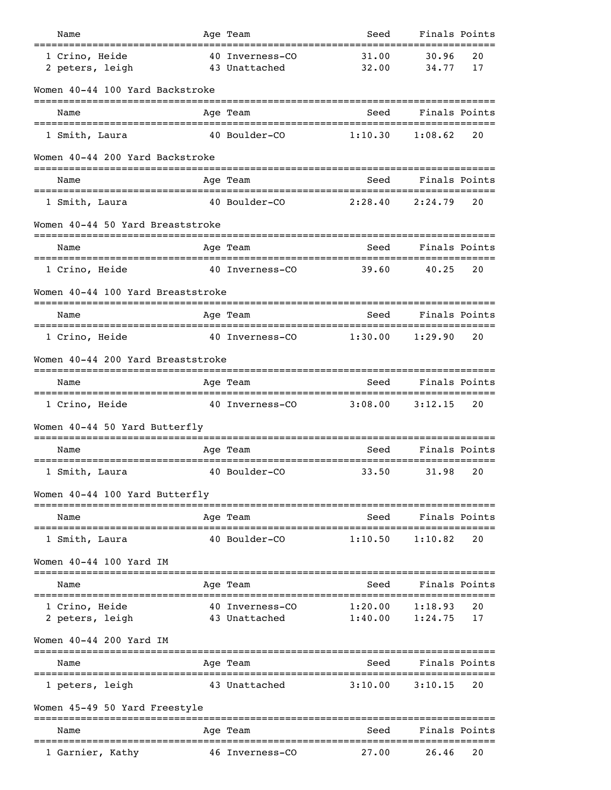| Name                                               |                | Age Team                                   | Seed                                           | Finals Points |    |
|----------------------------------------------------|----------------|--------------------------------------------|------------------------------------------------|---------------|----|
| 1 Crino, Heide                                     |                | 40 Inverness-CO                            | 31.00                                          | 30.96         | 20 |
| 2 peters, leigh                                    |                | 43 Unattached                              | 32.00                                          | 34.77         | 17 |
| Women 40-44 100 Yard Backstroke                    |                |                                            |                                                |               |    |
| Name                                               |                | Age Team                                   | Seed                                           | Finals Points |    |
| 1 Smith, Laura                                     |                | 40 Boulder-CO                              | 1:10.30                                        | 1:08.62       | 20 |
| Women 40-44 200 Yard Backstroke                    |                |                                            |                                                |               |    |
| Name                                               |                | Age Team                                   | Seed                                           | Finals Points |    |
| 1 Smith, Laura                                     |                | 40 Boulder-CO                              | 2:28.40                                        | 2:24.79       | 20 |
| Women 40-44 50 Yard Breaststroke                   |                |                                            |                                                |               |    |
| Name                                               |                | Age Team                                   | Seed                                           | Finals Points |    |
| 1 Crino, Heide                                     |                | 40 Inverness-CO                            | -====================================<br>39.60 | 40.25         | 20 |
| Women 40-44 100 Yard Breaststroke                  |                |                                            |                                                |               |    |
| Name                                               |                | Age Team                                   | Seed                                           | Finals Points |    |
| 1 Crino, Heide                                     |                | 40 Inverness-CO                            | 1:30.00                                        | 1:29.90       | 20 |
| Women 40-44 200 Yard Breaststroke                  |                |                                            |                                                |               |    |
| Name                                               |                | Age Team                                   | Seed                                           | Finals Points |    |
| ================================<br>1 Crino, Heide |                | 40 Inverness-CO                            | 3:08.00                                        | 3:12.15       | 20 |
| Women 40-44 50 Yard Butterfly                      |                |                                            |                                                |               |    |
| Name                                               |                | Age Team                                   | Seed                                           | Finals Points |    |
| 1 Smith, Laura                                     |                | :==============<br>40 Boulder-CO           | 33.50                                          | 31.98         | 20 |
| Women 40-44 100 Yard Butterfly                     |                |                                            |                                                |               |    |
| Name                                               |                | ------------------------------<br>Age Team | Seed                                           | Finals Points |    |
| 1 Smith, Laura                                     |                | 40 Boulder-CO                              | 1:10.50                                        | 1:10.82       | 20 |
| Women $40-44$ 100 Yard IM                          |                |                                            |                                                |               |    |
| Name                                               |                | Age Team                                   | Seed                                           | Finals Points |    |
| 1 Crino, Heide                                     |                | 40 Inverness-CO                            | 1:20.00                                        | 1:18.93       | 20 |
| 2 peters, leigh                                    |                | 43 Unattached                              | 1:40.00                                        | 1:24.75       | 17 |
| Women 40-44 200 Yard IM<br>:====================== | -------------- |                                            |                                                |               |    |
| Name                                               |                | Age Team                                   | Seed                                           | Finals Points |    |
| 1 peters, leigh                                    |                | 43 Unattached                              | 3:10.00                                        | 3:10.15       | 20 |
| Women 45-49 50 Yard Freestyle                      |                |                                            |                                                |               |    |
| Name                                               |                | Age Team                                   | Seed                                           | Finals Points |    |
| 1 Garnier, Kathy                                   |                | 46 Inverness-CO                            | 27.00                                          | 26.46         | 20 |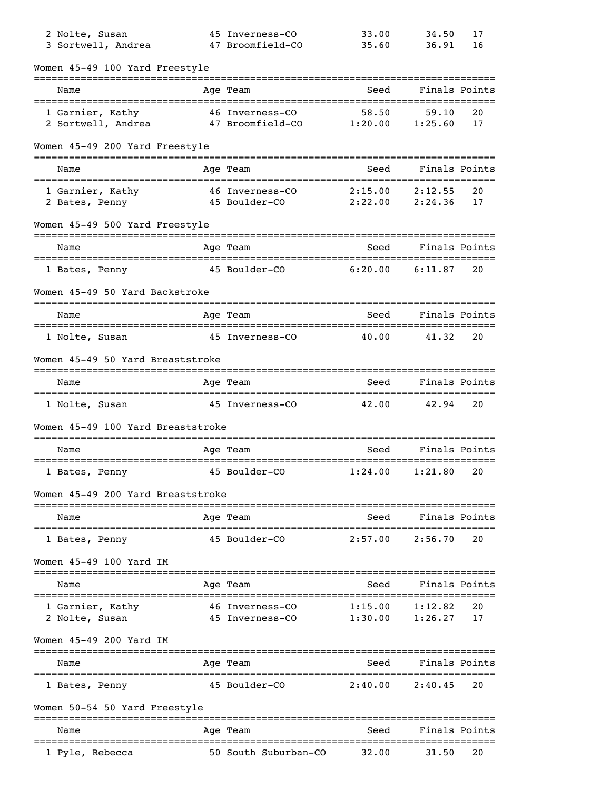| 2 Nolte, Susan<br>3 Sortwell, Andrea                   |             | 45 Inverness-CO<br>47 Broomfield-CO                      | 33.00<br>35.60                          | 34.50<br>36.91     | 17<br>16 |
|--------------------------------------------------------|-------------|----------------------------------------------------------|-----------------------------------------|--------------------|----------|
| Women 45-49 100 Yard Freestyle                         |             |                                                          |                                         |                    |          |
| Name                                                   |             | Age Team                                                 | Seed                                    | Finals Points      |          |
| 1 Garnier, Kathy<br>2 Sortwell, Andrea                 | =========== | -----------------<br>46 Inverness-CO<br>47 Broomfield-CO | 58.50<br>1:20.00                        | 59.10<br>1:25.60   | 20<br>17 |
| Women 45-49 200 Yard Freestyle                         |             |                                                          |                                         |                    |          |
| Name                                                   |             | Age Team                                                 | Seed                                    | Finals Points      |          |
| 1 Garnier, Kathy<br>2 Bates, Penny                     |             | 46 Inverness-CO<br>45 Boulder-CO                         | 2:15.00<br>2:22.00                      | 2:12.55<br>2:24.36 | 20<br>17 |
| Women 45-49 500 Yard Freestyle                         |             |                                                          |                                         |                    |          |
| Name                                                   |             | Age Team<br>=====================                        | Seed<br>------------------------------- | Finals Points      |          |
| 1 Bates, Penny                                         |             | 45 Boulder-CO                                            | 6:20.00                                 | 6:11.87            | 20       |
| Women 45-49 50 Yard Backstroke                         |             |                                                          |                                         |                    |          |
| Name                                                   |             | Age Team                                                 | Seed                                    | Finals Points      |          |
| 1 Nolte, Susan                                         |             | 45 Inverness-CO                                          | 40.00                                   | 41.32              | 20       |
| Women 45-49 50 Yard Breaststroke                       |             |                                                          |                                         |                    |          |
| Name                                                   |             | Age Team                                                 | Seed                                    | Finals Points      |          |
| 1 Nolte, Susan                                         |             | 45 Inverness-CO                                          | 42.00                                   | 42.94              | 20       |
| Women 45-49 100 Yard Breaststroke                      |             |                                                          |                                         |                    |          |
| Name                                                   |             | Age Team                                                 | Seed                                    | Finals Points      |          |
| 1 Bates, Penny                                         |             | 45 Boulder-CO                                            | :=======<br>1:24.00                     | 1:21.80            | 20       |
| Women 45-49 200 Yard Breaststroke                      |             |                                                          |                                         |                    |          |
| Name<br>-------------------                            |             | Age Team<br>======================                       | Seed                                    | Finals Points      |          |
| 1 Bates, Penny                                         |             | 45 Boulder-CO                                            | 2:57.00                                 | 2:56.70            | 20       |
| Women 45-49 100 Yard IM                                |             |                                                          |                                         |                    |          |
| Name                                                   |             | Age Team                                                 | Seed                                    | Finals Points      |          |
| 1 Garnier, Kathy<br>2 Nolte, Susan                     |             | 46 Inverness-CO<br>45 Inverness-CO                       | 1:15.00<br>1:30.00                      | 1:12.82<br>1:26.27 | 20<br>17 |
| Women 45-49 200 Yard IM                                |             |                                                          |                                         |                    |          |
| ======================================<br>Name         |             | Age Team                                                 | Seed                                    | Finals Points      |          |
| ====================================<br>1 Bates, Penny |             | ======================================<br>45 Boulder-CO  | 2:40.00                                 | 2:40.45            | 20       |
| Women 50-54 50 Yard Freestyle                          |             |                                                          |                                         |                    |          |
| Name                                                   |             | Aqe Team                                                 | Seed                                    | Finals Points      |          |
| 1 Pyle, Rebecca                                        |             | 50 South Suburban-CO                                     | 32.00                                   | 31.50              | 20       |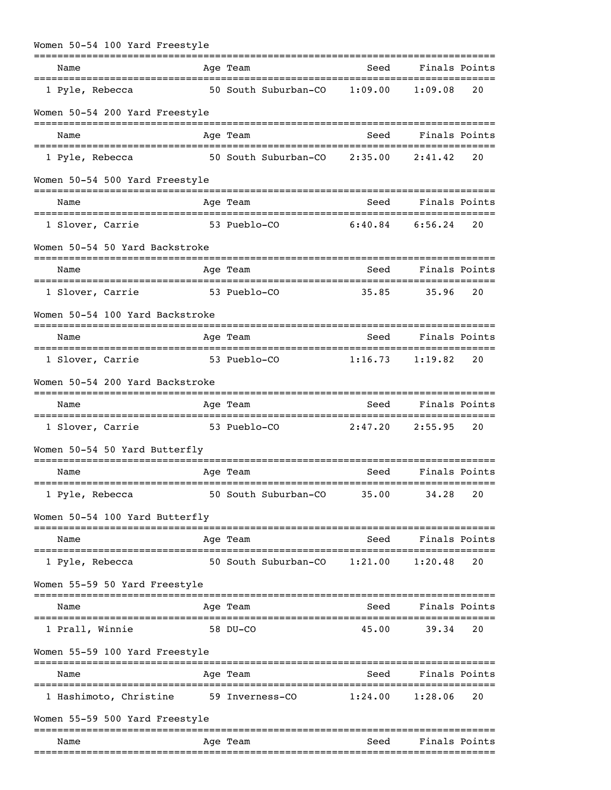| Women 50-54 100 Yard Freestyle                          |                                                     |                 |                                   |    |
|---------------------------------------------------------|-----------------------------------------------------|-----------------|-----------------------------------|----|
| Name                                                    | Age Team                                            | Seed            | Finals Points                     |    |
| 1 Pyle, Rebecca                                         | 50 South Suburban-CO                                | 1:09.00         | 1:09.08                           | 20 |
| Women 50-54 200 Yard Freestyle                          |                                                     |                 |                                   |    |
| Name                                                    | Age Team                                            | Seed            | Finals Points                     |    |
| 1 Pyle, Rebecca                                         | 50 South Suburban-CO                                | 2:35.00         | 2:41.42                           | 20 |
| Women 50-54 500 Yard Freestyle                          |                                                     |                 |                                   |    |
| Name                                                    | Age Team                                            | Seed            | Finals Points                     |    |
| 1 Slover, Carrie                                        | 53 Pueblo-CO                                        | 6:40.84         | 6:56.24                           | 20 |
| Women 50-54 50 Yard Backstroke                          |                                                     |                 |                                   |    |
| Name                                                    | Age Team                                            | Seed            | Finals Points                     |    |
| ===================================<br>1 Slover, Carrie | -----------------------------------<br>53 Pueblo-CO | 35.85           | 35.96                             | 20 |
| Women 50-54 100 Yard Backstroke                         |                                                     |                 |                                   |    |
| Name                                                    | Age Team                                            | Seed            | Finals Points                     |    |
| 1 Slover, Carrie                                        | 53 Pueblo-CO                                        | 1:16.73         | 1:19.82                           | 20 |
| Women 50-54 200 Yard Backstroke                         |                                                     |                 |                                   |    |
| Name                                                    | Age Team                                            | Seed            | Finals Points                     |    |
| 1 Slover, Carrie                                        | 53 Pueblo-CO                                        | 2:47.20         | 2:55.95                           | 20 |
| Women 50-54 50 Yard Butterfly                           |                                                     |                 |                                   |    |
| Name                                                    | Age Team                                            | Seed            | Finals Points                     |    |
| 1 Pyle, Rebecca                                         | 50 South Suburban-CO                                | 35.00           | 34.28                             | 20 |
| Women 50-54 100 Yard Butterfly                          |                                                     |                 |                                   |    |
| Name                                                    | ===========<br>Age Team                             | :======<br>Seed | ================<br>Finals Points |    |
| 1 Pyle, Rebecca                                         | 50 South Suburban-CO                                | 1:21.00         | :=======<br>1:20.48               | 20 |
| Women 55-59 50 Yard Freestyle                           |                                                     |                 |                                   |    |
| Name                                                    | Age Team                                            | Seed            | Finals Points                     |    |
| =======================<br>1 Prall, Winnie              | 58 DU-CO                                            | 45.00           | 39.34                             | 20 |
| Women 55-59 100 Yard Freestyle                          |                                                     |                 |                                   |    |
| Name                                                    | Age Team                                            | Seed            | Finals Points                     |    |
| 1 Hashimoto, Christine                                  | 59 Inverness-CO                                     | 1:24.00         | 1:28.06                           | 20 |
| Women 55-59 500 Yard Freestyle                          |                                                     |                 |                                   |    |
| Name                                                    | =========<br>Aqe Team                               | Seed            | Finals Points                     |    |
|                                                         |                                                     |                 |                                   |    |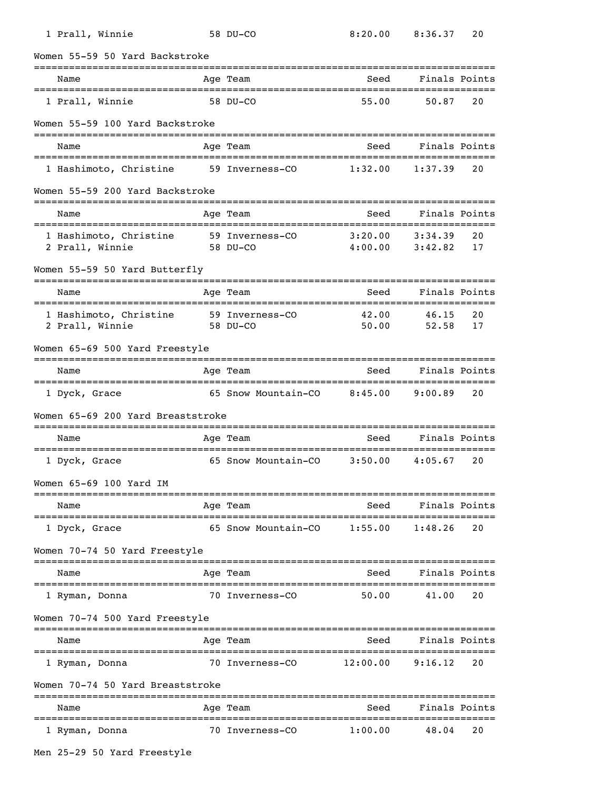| 1 Prall, Winnie                                    | 58 DU-CO                              | 8:20.00                              | 8:36.37                    | 20       |
|----------------------------------------------------|---------------------------------------|--------------------------------------|----------------------------|----------|
| Women 55-59 50 Yard Backstroke                     |                                       |                                      |                            |          |
| Name                                               | Age Team                              | Seed<br>---------                    | Finals Points<br>--------- |          |
| ===============================<br>1 Prall, Winnie | 58 DU-CO                              | 55.00                                | 50.87                      | 20       |
| Women 55-59 100 Yard Backstroke                    |                                       |                                      |                            |          |
| Name                                               | Age Team                              | Seed                                 | Finals Points              |          |
| 1 Hashimoto, Christine                             | 59 Inverness-CO                       | 1:32.00                              | 1:37.39                    | 20       |
| Women 55-59 200 Yard Backstroke                    |                                       |                                      |                            |          |
| Name                                               | Age Team                              | Seed                                 | Finals Points              |          |
| 1 Hashimoto, Christine<br>2 Prall, Winnie          | 59 Inverness-CO<br>58 DU-CO           | 3:20.00<br>4:00.00                   | 3:34.39<br>3:42.82         | 20<br>17 |
| Women 55-59 50 Yard Butterfly                      |                                       |                                      |                            |          |
| Name                                               | Age Team                              | Seed                                 | Finals Points<br>--------  |          |
| 1 Hashimoto, Christine<br>2 Prall, Winnie          | 59 Inverness-CO<br>58 DU-CO           | 42.00<br>50.00                       | 46.15<br>52.58             | 20<br>17 |
| Women 65-69 500 Yard Freestyle                     |                                       |                                      |                            |          |
| Name                                               | Age Team                              | Seed                                 | Finals Points              |          |
| 1 Dyck, Grace                                      | 65 Snow Mountain-CO                   | 8:45.00                              | 9:00.89                    | 20       |
| Women 65-69 200 Yard Breaststroke                  |                                       |                                      |                            |          |
| Name                                               | Age Team                              | Seed                                 | Finals Points              |          |
| 1 Dyck, Grace                                      | 65 Snow Mountain-CO                   | 3:50.00                              | 4:05.67                    | 20       |
| Women 65-69 100 Yard IM                            |                                       |                                      |                            |          |
| Name                                               | Age Team                              | Seed                                 | Finals Points              |          |
| 1 Dyck, Grace                                      | 65 Snow Mountain-CO                   | 1:55.00                              | 1:48.26                    | 20       |
| Women 70-74 50 Yard Freestyle                      | =============                         |                                      |                            |          |
| Name                                               | Age Team<br>_________________________ | Seed<br>============================ | Finals Points              |          |
| 1 Ryman, Donna                                     | 70 Inverness-CO                       | 50.00                                | 41.00                      | 20       |
| Women 70-74 500 Yard Freestyle                     |                                       |                                      |                            |          |
| Name                                               | Age Team                              | Seed                                 | Finals Points              |          |
| 1 Ryman, Donna                                     | 70 Inverness-CO                       | 12:00.00                             | 9:16.12                    | 20       |
| Women 70-74 50 Yard Breaststroke                   |                                       |                                      |                            |          |
| Name                                               | Age Team                              | Seed                                 | Finals Points              |          |
| 1 Ryman, Donna                                     | 70 Inverness-CO                       | 1:00.00                              | 48.04                      | 20       |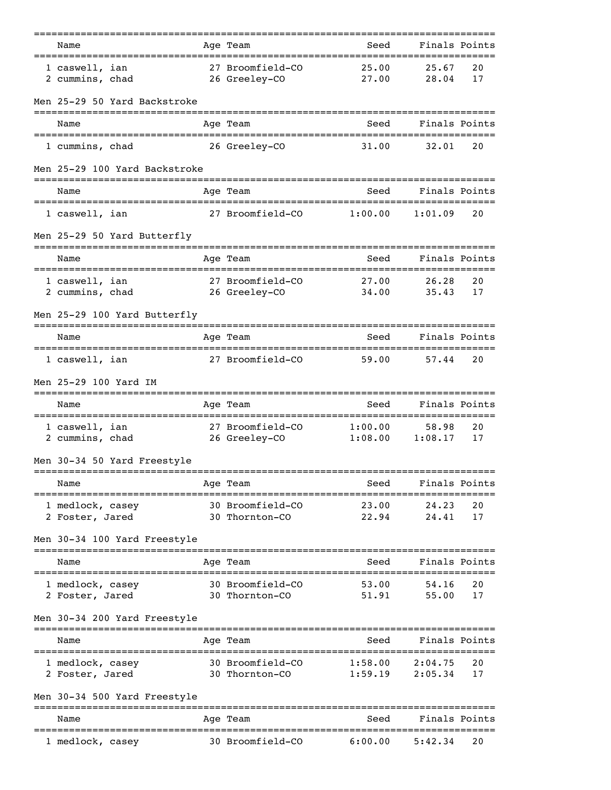| Name<br>=================================                     | Age Team                                          | Seed<br>============================     | Finals Points                         |          |
|---------------------------------------------------------------|---------------------------------------------------|------------------------------------------|---------------------------------------|----------|
| 1 caswell, ian<br>2 cummins, chad                             | 27 Broomfield-CO<br>26 Greeley-CO                 | 25.00<br>27.00                           | 25.67<br>28.04                        | 20<br>17 |
| Men 25-29 50 Yard Backstroke                                  |                                                   |                                          |                                       |          |
| Name                                                          | Age Team                                          | Seed                                     | Finals Points                         |          |
| 1 cummins, chad                                               | 26 Greeley-CO                                     | 31.00                                    | 32.01                                 | 20       |
| Men 25-29 100 Yard Backstroke                                 |                                                   |                                          |                                       |          |
| Name                                                          | Age Team                                          | Seed                                     | Finals Points                         |          |
| 1 caswell, ian                                                | 27 Broomfield-CO                                  | 1:00.00                                  | 1:01.09                               | 20       |
| Men 25-29 50 Yard Butterfly                                   |                                                   |                                          |                                       |          |
| Name<br>======================================                | Age Team                                          | Seed                                     | Finals Points<br>==================== |          |
| 1 caswell, ian<br>2 cummins, chad                             | 27 Broomfield-CO<br>26 Greeley-CO                 | 27.00<br>34,00                           | 26.28<br>35.43                        | 20<br>17 |
| Men 25-29 100 Yard Butterfly                                  |                                                   |                                          |                                       |          |
| Name                                                          | Age Team                                          | Seed                                     | Finals Points                         |          |
| 1 caswell, ian                                                | 27 Broomfield-CO                                  | 59.00                                    | 57.44                                 | 20       |
| Men 25-29 100 Yard IM                                         |                                                   |                                          |                                       |          |
| Name                                                          | Age Team                                          | Seed                                     | Finals Points                         |          |
| 1 caswell, ian<br>2 cummins, chad                             | 27 Broomfield-CO<br>26 Greeley-CO                 | 1:00.00<br>1:08.00                       | 58.98<br>1:08.17                      | 20<br>17 |
| Men 30-34 50 Yard Freestyle                                   |                                                   |                                          |                                       |          |
| =======================<br>Name                               | ===============<br>Age Team                       | ------------------------------<br>Seed   | Finals Points                         |          |
| 1 medlock, casey<br>2 Foster, Jared                           | 30 Broomfield-CO<br>30 Thornton-CO                | 23.00<br>22.94                           | 24.23<br>24.41                        | 20<br>17 |
| Men 30-34 100 Yard Freestyle                                  |                                                   |                                          |                                       |          |
| Name                                                          | Age Team                                          | -----------------------------<br>Seed    | Finals Points                         |          |
| ----------------------<br>1 medlock, casey<br>2 Foster, Jared | ===========<br>30 Broomfield-CO<br>30 Thornton-CO | ______________________<br>53.00<br>51.91 | =================<br>54.16<br>55.00   | 20<br>17 |
| Men 30-34 200 Yard Freestyle                                  |                                                   |                                          |                                       |          |
| Name                                                          | Age Team                                          | Seed                                     | Finals Points                         |          |
| 1 medlock, casey<br>2 Foster, Jared                           | 30 Broomfield-CO<br>30 Thornton-CO                | 1:58.00<br>1:59.19                       | 2:04.75<br>2:05.34                    | 20<br>17 |
| Men 30-34 500 Yard Freestyle                                  |                                                   |                                          |                                       |          |
| Name                                                          | Age Team                                          | Seed                                     | Finals Points                         |          |
| 1 medlock, casey                                              | 30 Broomfield-CO                                  | 6:00.00                                  | 5:42.34                               | 20       |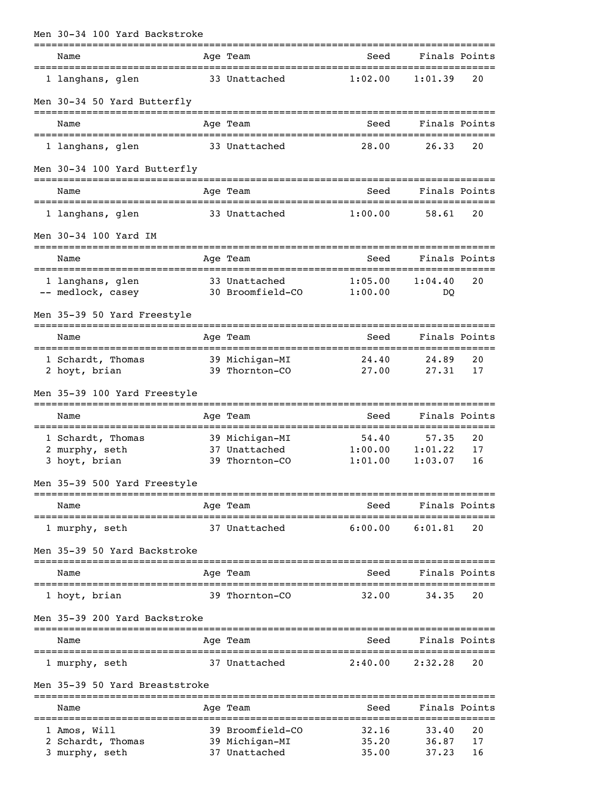| Men 30-34 100 Yard Backstroke                  |             |                                  |                                           |                                   |          |
|------------------------------------------------|-------------|----------------------------------|-------------------------------------------|-----------------------------------|----------|
| Name<br>====================================== |             | Age Team                         | Seed<br>=========================         | Finals Points<br>================ |          |
| 1 langhans, glen                               |             | 33 Unattached                    | 1:02.00                                   | 1:01.39                           | 20       |
| Men 30-34 50 Yard Butterfly                    |             |                                  |                                           |                                   |          |
| Name                                           |             | Age Team                         | Seed                                      | Finals Points                     |          |
| 1 langhans, glen                               |             | 33 Unattached                    | 28.00                                     | 26.33                             | 20       |
| Men 30-34 100 Yard Butterfly                   |             |                                  |                                           |                                   |          |
| Name                                           |             | Age Team                         | Seed                                      | Finals Points                     |          |
| 1 langhans, glen                               |             | 33 Unattached                    | 1:00.00                                   | 58.61                             | 20       |
| Men 30-34 100 Yard IM                          |             |                                  |                                           |                                   |          |
| Name                                           |             | Age Team                         | Seed                                      | Finals Points                     |          |
| =========================<br>1 langhans, glen  | =========== | 33 Unattached                    | ==============================<br>1:05.00 | 1:04.40                           | 20       |
| -- medlock, casey                              |             | 30 Broomfield-CO                 | 1:00.00                                   | DQ                                |          |
| Men 35-39 50 Yard Freestyle                    |             |                                  |                                           |                                   |          |
| Name                                           |             | Age Team                         | Seed                                      | Finals Points                     |          |
| 1 Schardt, Thomas<br>2 hoyt, brian             |             | 39 Michigan-MI<br>39 Thornton-CO | 24.40<br>27.00                            | 24.89<br>27.31                    | 20<br>17 |
| Men 35-39 100 Yard Freestyle                   |             |                                  |                                           |                                   |          |
| Name                                           |             | ==========<br>Age Team           | Seed                                      | Finals Points                     |          |
|                                                |             |                                  | =============================             |                                   |          |
| 1 Schardt, Thomas<br>2 murphy, seth            |             | 39 Michigan-MI<br>37 Unattached  | 54.40<br>1:00.00                          | 57.35<br>1:01.22                  | 20<br>17 |
| 3 hoyt, brian                                  |             | 39 Thornton-CO                   | 1:01.00                                   | 1:03.07                           | 16       |
| Men 35-39 500 Yard Freestyle                   |             |                                  |                                           |                                   |          |
| Name                                           |             | Age Team                         | Seed                                      | Finals Points                     |          |
| 1 murphy, seth                                 |             | 37 Unattached                    | 6:00.00                                   | 6:01.81                           | 20       |
| Men 35-39 50 Yard Backstroke                   |             |                                  |                                           |                                   |          |
| Name                                           |             | Age Team                         | Seed                                      | Finals Points                     |          |
| 1 hoyt, brian                                  |             | 39 Thornton-CO                   | 32.00                                     | 34.35                             | 20       |
| Men 35-39 200 Yard Backstroke                  |             |                                  |                                           |                                   |          |
| Name                                           |             | Age Team                         | Seed                                      | Finals Points                     |          |
| 1 murphy, seth                                 |             | 37 Unattached                    | 2:40.00                                   | 2:32.28                           | 20       |
| Men 35-39 50 Yard Breaststroke                 |             |                                  |                                           |                                   |          |
| ========================<br>Name               |             | Age Team                         | Seed                                      | Finals Points                     |          |
| 1 Amos, Will                                   | ---------   | 39 Broomfield-CO                 | 32.16                                     | 33.40                             | 20       |
| 2 Schardt, Thomas                              |             | 39 Michigan-MI                   | 35.20                                     | 36.87                             | 17       |
| 3 murphy, seth                                 |             | 37 Unattached                    | 35.00                                     | 37.23                             | 16       |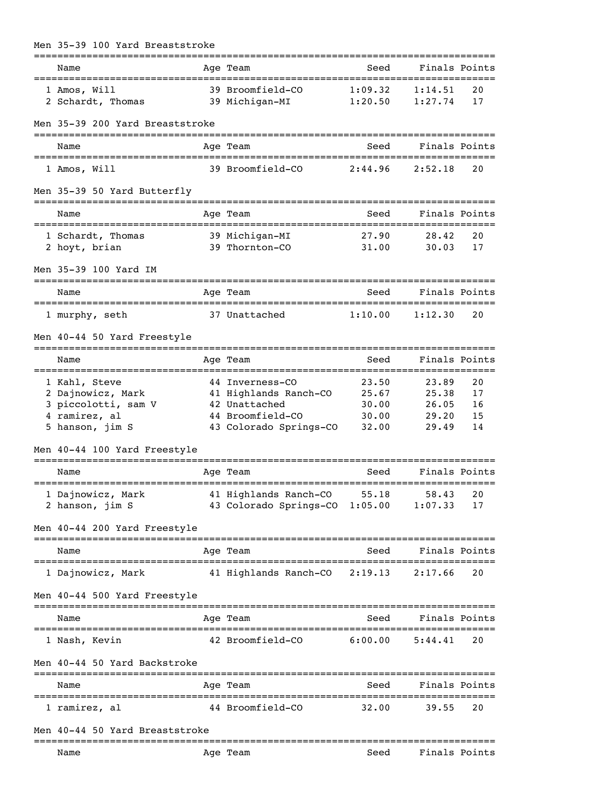| Men 35-39 100 Yard Breaststroke                                  |                                                                     |                                               |                    |               |
|------------------------------------------------------------------|---------------------------------------------------------------------|-----------------------------------------------|--------------------|---------------|
| ==============================<br>Name                           | Age Team                                                            | Seed                                          |                    | Finals Points |
| 1 Amos, Will<br>2 Schardt, Thomas                                | 39 Broomfield-CO<br>39 Michigan-MI                                  | 1:09.32<br>1:20.50                            | 1:14.51<br>1:27.74 | 20<br>17      |
| Men 35-39 200 Yard Breaststroke                                  |                                                                     |                                               |                    |               |
| Name                                                             | Age Team                                                            | Seed                                          | Finals Points      |               |
| 1 Amos, Will                                                     | 39 Broomfield-CO                                                    | 2:44.96                                       | 2:52.18            | 20            |
| Men 35-39 50 Yard Butterfly                                      |                                                                     |                                               |                    |               |
| Name                                                             | Age Team                                                            | Seed                                          |                    | Finals Points |
| 1 Schardt, Thomas<br>2 hoyt, brian                               | 39 Michigan-MI<br>39 Thornton-CO                                    | 27.90<br>31.00                                | 28.42<br>30.03     | 20<br>17      |
| Men 35-39 100 Yard IM<br>===================<br>================ |                                                                     |                                               |                    |               |
| Name                                                             | Age Team                                                            | Seed                                          |                    | Finals Points |
| 1 murphy, seth                                                   | 37 Unattached                                                       | 1:10.00                                       | 1:12.30            | 20            |
| Men 40-44 50 Yard Freestyle                                      |                                                                     |                                               |                    |               |
| Name                                                             | Age Team                                                            | Seed                                          | Finals Points      |               |
| 1 Kahl, Steve                                                    | 44 Inverness-CO                                                     | 23.50                                         | 23.89              | 20            |
| 2 Dajnowicz, Mark                                                | 41 Highlands Ranch-CO                                               | 25.67                                         | 25.38              | 17            |
| 3 piccolotti, sam V<br>4 ramirez, al                             | 42 Unattached<br>44 Broomfield-CO                                   | 30.00<br>30.00                                | 26.05<br>29.20     | 16            |
| 5 hanson, jim S                                                  | 43 Colorado Springs-CO                                              | 32.00                                         | 29.49              | 15<br>14      |
| Men 40-44 100 Yard Freestyle                                     |                                                                     |                                               |                    |               |
|                                                                  |                                                                     |                                               |                    |               |
| Name                                                             | Age Team                                                            | Seed                                          |                    | Finals Points |
| 1 Dajnowicz, Mark                                                | 41 Highlands Ranch-CO 55.18                                         |                                               | 58.43              | 20            |
| 2 hanson, jim S                                                  | 43 Colorado Springs-CO 1:05.00                                      |                                               | 1:07.33            | 17            |
| Men 40-44 200 Yard Freestyle                                     |                                                                     |                                               |                    |               |
| ===========================<br>Name                              | ============<br>Age Team                                            | Seed                                          | Finals Points      |               |
| ======================================<br>1 Dajnowicz, Mark      | ==================================<br>41 Highlands Ranch-CO 2:19.13 |                                               | 2:17.66            | 20            |
| Men 40-44 500 Yard Freestyle                                     |                                                                     |                                               |                    |               |
| Name                                                             | -----------<br>Age Team                                             | -------------------------------------<br>Seed |                    | Finals Points |
| 1 Nash, Kevin                                                    | 42 Broomfield-CO                                                    | 6:00.00                                       | 5:44.41            | 20            |
| Men 40-44 50 Yard Backstroke                                     |                                                                     |                                               |                    |               |
| Name                                                             | Age Team                                                            | Seed                                          | Finals Points      |               |
| 1 ramirez, al                                                    | 44 Broomfield-CO                                                    | 32.00                                         | 39.55              | 20            |
| Men 40-44 50 Yard Breaststroke                                   | ---------                                                           |                                               |                    |               |
| Name                                                             | Age Team                                                            | Seed                                          | Finals Points      |               |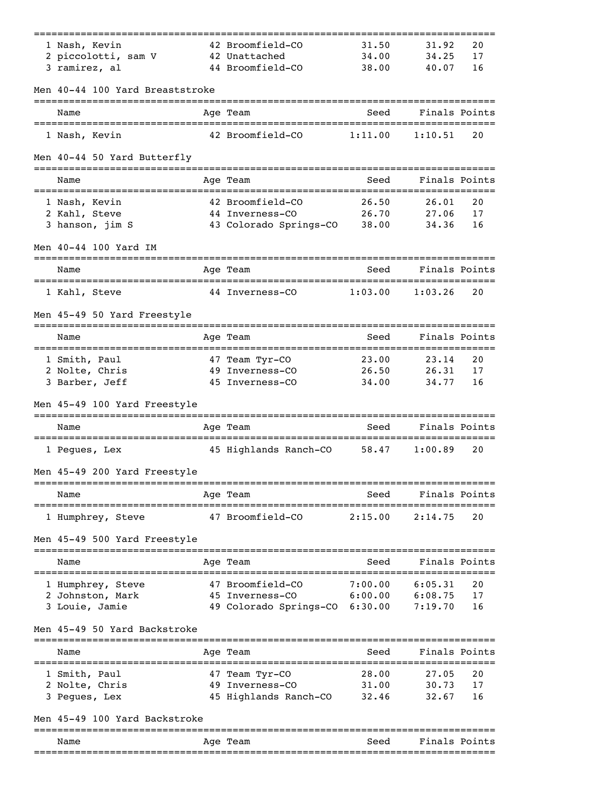|                                             |                                                 |         |                    | ------------- |
|---------------------------------------------|-------------------------------------------------|---------|--------------------|---------------|
| 1 Nash, Kevin                               | 42 Broomfield-CO                                | 31.50   | 31.92              | 20            |
| 2 piccolotti, sam V                         | 42 Unattached                                   | 34.00   | 34.25              | 17            |
| 3 ramirez, al                               | 44 Broomfield-CO                                | 38.00   | 40.07              | 16            |
| Men 40-44 100 Yard Breaststroke             |                                                 |         |                    |               |
| Name                                        | Age Team                                        | Seed    | Finals Points      |               |
| 1 Nash, Kevin                               | 42 Broomfield-CO                                | 1:11.00 | 1:10.51            | 20            |
| Men 40-44 50 Yard Butterfly                 |                                                 |         |                    |               |
| Name                                        | Age Team                                        | Seed    | Finals Points      |               |
| 1 Nash, Kevin                               | 42 Broomfield-CO                                | 26.50   | 26.01              | 20            |
| 2 Kahl, Steve                               | 44 Inverness-CO                                 | 26.70   | 27.06              | 17            |
| 3 hanson, jim S                             | 43 Colorado Springs-CO                          | 38.00   | 34.36              | 16            |
| Men 40-44 100 Yard IM                       |                                                 |         |                    |               |
| Name                                        | Age Team                                        | Seed    | Finals Points      |               |
| 1 Kahl, Steve                               | 44 Inverness-CO                                 | 1:03.00 | 1:03.26            | 20            |
| Men 45-49 50 Yard Freestyle                 |                                                 |         |                    |               |
| Name                                        | Age Team                                        | Seed    | Finals Points      |               |
| 1 Smith, Paul                               | 47 Team Tyr-CO                                  | 23.00   | 23.14              | 20            |
| 2 Nolte, Chris                              | 49 Inverness-CO                                 | 26.50   | 26.31              | 17            |
| 3 Barber, Jeff                              | 45 Inverness-CO                                 | 34.00   | 34.77              | 16            |
| Men 45-49 100 Yard Freestyle                |                                                 |         |                    |               |
| Name<br>=================================== | Age Team<br>=================================== | Seed    | Finals Points      |               |
| 1 Peques, Lex                               | 45 Highlands Ranch-CO                           | 58.47   | 1:00.89            | 20            |
| Men 45-49 200 Yard Freestyle                |                                                 |         |                    |               |
| Name                                        | Age Team                                        |         | Seed Finals Points |               |
| 1 Humphrey, Steve                           | 47 Broomfield-CO 2:15.00                        |         | 2:14.75            | 20            |
| Men 45-49 500 Yard Freestyle                |                                                 |         |                    |               |
| Name                                        | Age Team                                        | Seed    | Finals Points      |               |
| 1 Humphrey, Steve                           | 47 Broomfield-CO                                | 7:00.00 | 6:05.31            | 20            |
| 2 Johnston, Mark                            | 45 Inverness-CO 6:00.00                         |         | 6:08.75            | 17            |
| 3 Louie, Jamie                              | 49 Colorado Springs-CO 6:30.00                  |         | 7:19.70            | 16            |
| Men 45-49 50 Yard Backstroke                |                                                 |         |                    |               |
| Name                                        | Age Team                                        | Seed    | Finals Points      |               |
| 1 Smith, Paul                               | 47 Team Tyr-CO                                  | 28.00   | 27.05              | 20            |
| 2 Nolte, Chris                              | 49 Inverness-CO                                 | 31.00   | 30.73              | 17            |
| 3 Pegues, Lex                               | 45 Highlands Ranch-CO 32.46                     |         | 32.67              | 16            |
| Men 45-49 100 Yard Backstroke               |                                                 |         |                    |               |
| Name                                        | ----------<br>Age Team                          | Seed    | Finals Points      |               |
|                                             |                                                 |         |                    |               |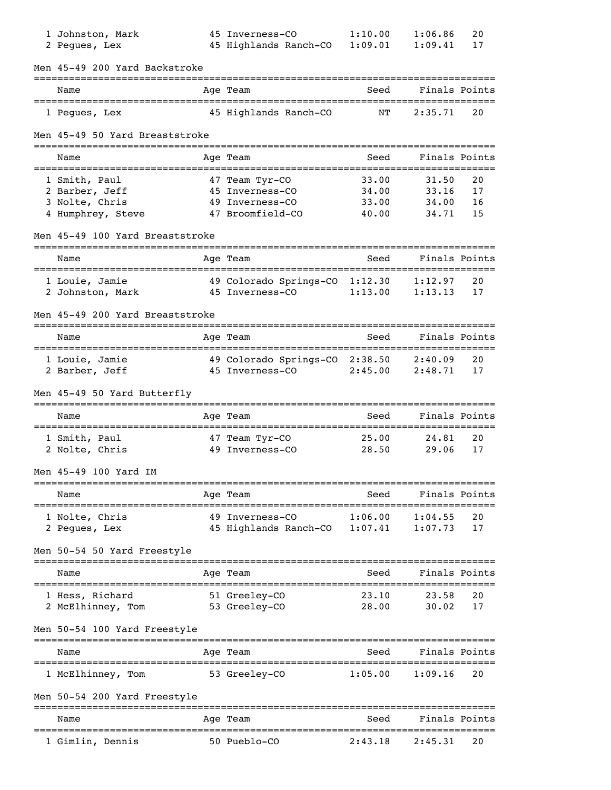| 1 Johnston, Mark                           | 45 Inverness-CO                | 1:10.00                       | 1:06.86            | 20       |
|--------------------------------------------|--------------------------------|-------------------------------|--------------------|----------|
| 2 Pegues, Lex                              | 45 Highlands Ranch-CO          | 1:09.01                       | 1:09.41            | 17       |
| Men 45-49 200 Yard Backstroke              |                                |                               |                    |          |
| Name                                       | Age Team                       | Seed                          | Finals Points      |          |
| 1 Pegues, Lex                              | 45 Highlands Ranch-CO          | ΝT                            | 2:35.71            | 20       |
| Men 45-49 50 Yard Breaststroke             |                                |                               |                    |          |
| Name                                       | Age Team                       | Seed                          | Finals Points      |          |
| 1 Smith, Paul                              | 47 Team Tyr-CO                 | 33.00                         | 31.50              | 20       |
| 2 Barber, Jeff                             | 45 Inverness-CO                | 34.00                         | 33.16              | 17       |
| 3 Nolte, Chris                             | 49 Inverness-CO                | 33.00                         | 34.00              | 16       |
| 4 Humphrey, Steve                          | 47 Broomfield-CO               | 40.00                         | 34.71              | 15       |
| Men 45-49 100 Yard Breaststroke            |                                |                               | ================== |          |
| Name<br>======================             | Age Team                       | Seed                          | Finals Points      |          |
| 1 Louie, Jamie                             | 49 Colorado Springs-CO 1:12.30 |                               | 1:12.97            | 20       |
| 2 Johnston, Mark                           | 45 Inverness-CO                | 1:13.00                       | 1:13.13            | 17       |
| Men 45-49 200 Yard Breaststroke            |                                |                               |                    |          |
| Name                                       | Age Team                       | Seed                          | Finals Points      |          |
|                                            |                                |                               |                    |          |
| 1 Louie, Jamie                             | 49 Colorado Springs-CO 2:38.50 |                               | 2:40.09            | 20<br>17 |
| 2 Barber, Jeff                             | 45 Inverness-CO                | 2:45.00                       | 2:48.71            |          |
| Men 45-49 50 Yard Butterfly                |                                |                               |                    |          |
| Name<br>================================== | Age Team                       | Seed                          | Finals Points      |          |
| 1 Smith, Paul                              | 47 Team Tyr-CO                 | 25.00                         | 24.81              | 20       |
| 2 Nolte, Chris                             | 49 Inverness-CO                | 28.50                         | 29.06              | 17       |
| Men 45-49 100 Yard IM                      |                                |                               |                    |          |
| Name                                       | -------------<br>Age Team      | Seed                          | Finals Points      |          |
| 1 Nolte, Chris                             | 49 Inverness-CO                | 1:06.00                       | 1:04.55            | 20       |
| 2 Peques, Lex                              | 45 Highlands Ranch-CO 1:07.41  |                               | 1:07.73            | 17       |
| Men 50-54 50 Yard Freestyle                |                                |                               |                    |          |
| Name                                       | Age Team                       | Seed                          | Finals Points      |          |
|                                            |                                |                               |                    |          |
| 1 Hess, Richard<br>2 McElhinney, Tom       | 51 Greeley-CO<br>53 Greeley-CO | 23.10<br>28.00                | 23.58<br>30.02     | 20<br>17 |
| Men 50-54 100 Yard Freestyle               |                                |                               |                    |          |
| Name                                       | Age Team                       | Seed                          | Finals Points      |          |
| 1 McElhinney, Tom                          | 53 Greeley-CO                  | 1:05.00                       | 1:09.16            | 20       |
|                                            |                                |                               |                    |          |
| Men 50-54 200 Yard Freestyle               |                                |                               |                    |          |
| Name                                       | Age Team<br>==========         | Seed<br>:=========== <b>:</b> | Finals Points      |          |
| 1 Gimlin, Dennis                           | 50 Pueblo-CO                   | 2:43.18                       | 2:45.31            | 20       |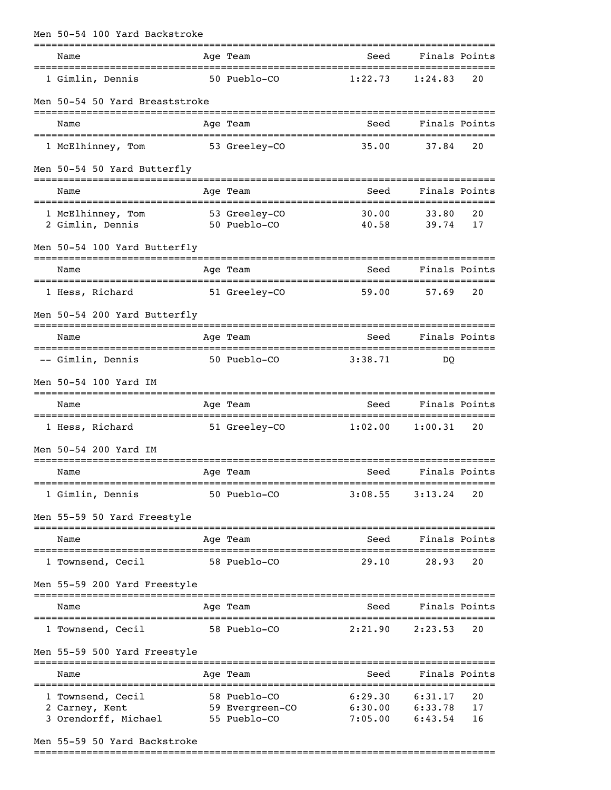| Men 50-54 100 Yard Backstroke                                       |  |                                                                 |                                |                    |                |  |  |  |
|---------------------------------------------------------------------|--|-----------------------------------------------------------------|--------------------------------|--------------------|----------------|--|--|--|
| Name                                                                |  | Age Team                                                        | Seed                           | Finals Points      |                |  |  |  |
| 1 Gimlin, Dennis                                                    |  | 50 Pueblo-CO                                                    | 1:22.73                        | 1:24.83            | 20             |  |  |  |
| Men 50-54 50 Yard Breaststroke                                      |  |                                                                 |                                |                    |                |  |  |  |
| Name                                                                |  | Age Team                                                        | Seed                           | Finals Points      |                |  |  |  |
| 1 McElhinney, Tom                                                   |  | 53 Greeley-CO                                                   | 35.00                          | 37.84              | 20             |  |  |  |
| Men 50-54 50 Yard Butterfly                                         |  |                                                                 |                                |                    |                |  |  |  |
| Name                                                                |  | Age Team                                                        | Seed                           | Finals Points      |                |  |  |  |
| 1 McElhinney, Tom 53 Greeley-CO<br>2 Gimlin, Dennis<br>50 Pueblo-CO |  |                                                                 | 30.00<br>40.58                 | 33.80<br>39.74     | 20<br>17       |  |  |  |
| Men 50-54 100 Yard Butterfly                                        |  |                                                                 |                                |                    |                |  |  |  |
| Name                                                                |  | Age Team                                                        | Seed                           | Finals Points      |                |  |  |  |
| 1 Hess, Richard                                                     |  | 51 Greeley-CO                                                   | 59.00                          | 57.69              | 20             |  |  |  |
| Men 50-54 200 Yard Butterfly                                        |  |                                                                 |                                |                    |                |  |  |  |
| Name                                                                |  | Age Team                                                        | Seed                           | Finals Points      |                |  |  |  |
| -- Gimlin, Dennis                                                   |  | 50 Pueblo-CO                                                    | 3:38.71                        | <sub>DO</sub>      |                |  |  |  |
| Men 50-54 100 Yard IM                                               |  |                                                                 |                                |                    |                |  |  |  |
| Name                                                                |  | Age Team                                                        | Seed                           | Finals Points      |                |  |  |  |
| 1 Hess, Richard 51 Greeley-CO 1:02.00 1:00.31                       |  |                                                                 |                                |                    | 20             |  |  |  |
| Men 50-54 200 Yard IM                                               |  |                                                                 |                                |                    |                |  |  |  |
| Age Team<br>Name                                                    |  |                                                                 | Seed Finals Points             |                    |                |  |  |  |
| 1 Gimlin, Dennis                                                    |  | 50 Pueblo-CO                                                    | 3:08.55                        | 3:13.24            | 20             |  |  |  |
| Men 55-59 50 Yard Freestyle                                         |  |                                                                 |                                |                    |                |  |  |  |
| Name                                                                |  | Age Team                                                        |                                | Seed Finals Points |                |  |  |  |
| 1 Townsend, Cecil                                                   |  | 58 Pueblo-CO                                                    |                                | 29.10 28.93        | 20             |  |  |  |
| Men 55-59 200 Yard Freestyle                                        |  |                                                                 |                                |                    |                |  |  |  |
| Name                                                                |  | Age Team                                                        | Seed                           | Finals Points      |                |  |  |  |
| 1 Townsend, Cecil 58 Pueblo-CO                                      |  |                                                                 | 2:21.90                        | 2:23.53            | 20             |  |  |  |
| Men 55-59 500 Yard Freestyle                                        |  |                                                                 |                                |                    |                |  |  |  |
| Name                                                                |  | Age Team                                                        | Seed                           | Finals Points      |                |  |  |  |
| 1 Townsend, Cecil<br>2 Carney, Kent<br>3 Orendorff, Michael         |  | 58 Pueblo-CO<br>59 Evergreen-CO 6:30.00 6:33.78<br>55 Pueblo-CO | 6:29.30<br>$7:05.00$ $6:43.54$ | 6:31.17            | 20<br>17<br>16 |  |  |  |

Men 55-59 50 Yard Backstroke

===============================================================================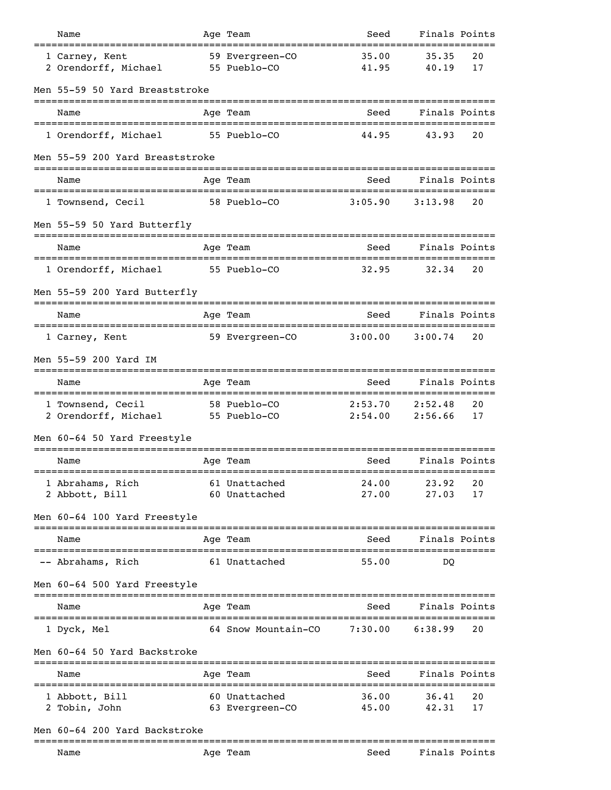| Name                                                                              |  | Age Team                         | Seed                                            | Finals Points      |          |  |  |
|-----------------------------------------------------------------------------------|--|----------------------------------|-------------------------------------------------|--------------------|----------|--|--|
| 1 Carney, Kent<br>2 Orendorff, Michael                                            |  | 59 Evergreen-CO<br>55 Pueblo-CO  | 35.00<br>41.95                                  | 35.35<br>40.19     | 20<br>17 |  |  |
| Men 55-59 50 Yard Breaststroke                                                    |  |                                  |                                                 |                    |          |  |  |
| Name                                                                              |  | Age Team                         | Seed                                            | Finals Points      |          |  |  |
| 1 Orendorff, Michael                                                              |  | 55 Pueblo-CO                     | 44.95                                           | 43.93              | 20       |  |  |
| Men 55-59 200 Yard Breaststroke                                                   |  |                                  |                                                 |                    |          |  |  |
| Name                                                                              |  | Age Team                         | Seed                                            | Finals Points      |          |  |  |
| 1 Townsend, Cecil                                                                 |  | 58 Pueblo-CO                     | 3:05.90                                         | 3:13.98            | 20       |  |  |
| Men 55-59 50 Yard Butterfly                                                       |  |                                  |                                                 |                    |          |  |  |
| Name                                                                              |  | Age Team                         | Seed                                            | Finals Points      |          |  |  |
| 1 Orendorff, Michael                                                              |  | 55 Pueblo-CO                     | --------------------------------------<br>32.95 | 32.34              | 20       |  |  |
| Men 55-59 200 Yard Butterfly                                                      |  |                                  |                                                 |                    |          |  |  |
| Name                                                                              |  | Age Team                         | Seed                                            | Finals Points      |          |  |  |
| 1 Carney, Kent                                                                    |  | 59 Evergreen-CO                  | 3:00.00                                         | 3:00.74            | 20       |  |  |
| Men 55-59 200 Yard IM                                                             |  |                                  |                                                 |                    |          |  |  |
| Name                                                                              |  | Age Team                         | Seed                                            | Finals Points      |          |  |  |
| ====================================<br>1 Townsend, Cecil<br>2 Orendorff, Michael |  | 58 Pueblo-CO<br>55 Pueblo-CO     | 2:53.70<br>2:54.00                              | 2:52.48<br>2:56.66 | 20<br>17 |  |  |
| Men 60-64 50 Yard Freestyle                                                       |  |                                  |                                                 |                    |          |  |  |
| Name                                                                              |  | Age Team                         | Seed                                            | Finals Points      |          |  |  |
| 1 Abrahams, Rich<br>2 Abbott, Bill                                                |  | 61 Unattached<br>60 Unattached   | 24.00<br>27.00                                  | 23.92<br>27.03     | 20<br>17 |  |  |
| Men 60-64 100 Yard Freestyle                                                      |  |                                  |                                                 |                    |          |  |  |
| Name                                                                              |  | Age Team                         | Seed                                            | Finals Points      |          |  |  |
| -- Abrahams, Rich                                                                 |  | 61 Unattached                    | 55.00                                           | DO                 |          |  |  |
| Men 60-64 500 Yard Freestyle                                                      |  |                                  |                                                 |                    |          |  |  |
| Name                                                                              |  | Age Team                         | Seed                                            | Finals Points      |          |  |  |
| 1 Dyck, Mel                                                                       |  | 64 Snow Mountain-CO              | 7:30.00                                         | 6:38.99            | 20       |  |  |
| Men 60-64 50 Yard Backstroke                                                      |  |                                  |                                                 |                    |          |  |  |
| Name                                                                              |  | Age Team                         | Seed                                            | Finals Points      |          |  |  |
| 1 Abbott, Bill<br>2 Tobin, John                                                   |  | 60 Unattached<br>63 Evergreen-CO | 36.00<br>45.00                                  | 36.41<br>42.31     | 20<br>17 |  |  |
| Men 60-64 200 Yard Backstroke                                                     |  |                                  |                                                 |                    |          |  |  |
| Name                                                                              |  | Age Team                         | Seed                                            | Finals Points      |          |  |  |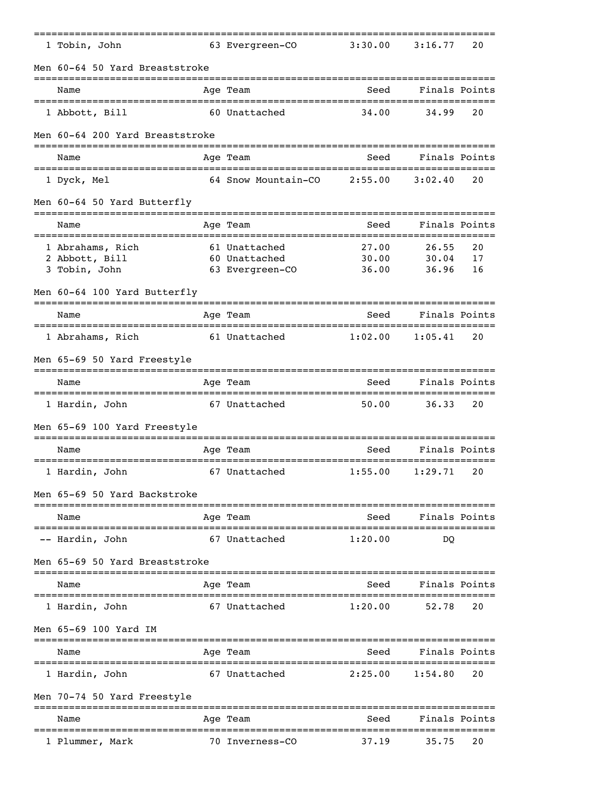|  | 1 Tobin, John                              |             | 63 Evergreen-CO                  | 3:30.00                                   | 3:16.77              | 20            |  |  |  |  |
|--|--------------------------------------------|-------------|----------------------------------|-------------------------------------------|----------------------|---------------|--|--|--|--|
|  | Men 60-64 50 Yard Breaststroke             |             |                                  |                                           |                      |               |  |  |  |  |
|  | Name                                       |             | Age Team                         | Seed                                      | Finals Points        |               |  |  |  |  |
|  | 1 Abbott, Bill                             |             | 60 Unattached                    | 34.00                                     | 34.99                | 20            |  |  |  |  |
|  | Men 60-64 200 Yard Breaststroke            |             |                                  |                                           |                      |               |  |  |  |  |
|  | Name                                       |             | Age Team                         | Seed                                      |                      | Finals Points |  |  |  |  |
|  | 1 Dyck, Mel                                |             | 64 Snow Mountain-CO              | 2:55.00                                   | 3:02.40              | 20            |  |  |  |  |
|  | Men 60-64 50 Yard Butterfly                |             |                                  |                                           |                      |               |  |  |  |  |
|  | Name                                       |             | Age Team                         | Seed                                      |                      | Finals Points |  |  |  |  |
|  |                                            |             |                                  |                                           |                      |               |  |  |  |  |
|  | 1 Abrahams, Rich                           |             | 61 Unattached                    | 27.00                                     | 26.55                | 20            |  |  |  |  |
|  | 2 Abbott, Bill<br>3 Tobin, John            |             | 60 Unattached<br>63 Evergreen-CO | 30.00<br>36.00                            | 30.04<br>36.96       | 17<br>16      |  |  |  |  |
|  |                                            |             |                                  |                                           |                      |               |  |  |  |  |
|  | Men 60-64 100 Yard Butterfly               |             |                                  |                                           |                      |               |  |  |  |  |
|  | Name                                       |             | Age Team                         | Seed                                      | Finals Points        |               |  |  |  |  |
|  | 1 Abrahams, Rich                           |             | 61 Unattached                    | 1:02.00                                   | 1:05.41              | 20            |  |  |  |  |
|  | Men 65-69 50 Yard Freestyle                |             |                                  |                                           |                      |               |  |  |  |  |
|  | Name<br>================================== |             | Age Team                         | Seed<br>==============================    | Finals Points        |               |  |  |  |  |
|  | 1 Hardin, John                             |             | 67 Unattached                    | 50.00                                     | 36.33                | 20            |  |  |  |  |
|  | Men 65-69 100 Yard Freestyle               |             |                                  |                                           |                      |               |  |  |  |  |
|  | Name                                       |             | Age Team                         | Seed                                      | Finals Points        |               |  |  |  |  |
|  | 1 Hardin, John                             | ---------   | 67 Unattached                    | ;=============================<br>1:55.00 | 1:29.71              | 20            |  |  |  |  |
|  | Men 65-69 50 Yard Backstroke               |             |                                  |                                           |                      |               |  |  |  |  |
|  | Name                                       |             | Age Team                         | Seed                                      | Finals Points        |               |  |  |  |  |
|  | -- Hardin, John                            |             | 67 Unattached                    | 1:20.00                                   | DO                   |               |  |  |  |  |
|  | Men 65-69 50 Yard Breaststroke             |             |                                  |                                           |                      |               |  |  |  |  |
|  | Name                                       |             | Age Team                         | Seed                                      |                      | Finals Points |  |  |  |  |
|  | 1 Hardin, John                             |             | 67 Unattached                    | 1:20.00                                   | 52.78                | 20            |  |  |  |  |
|  | Men 65-69 100 Yard IM                      |             |                                  |                                           |                      |               |  |  |  |  |
|  | Name                                       |             | Age Team                         | Seed                                      | Finals Points        |               |  |  |  |  |
|  | 1 Hardin, John                             |             | 67 Unattached                    | ========<br>2:25.00                       | =========<br>1:54.80 | 20            |  |  |  |  |
|  | Men 70-74 50 Yard Freestyle                |             |                                  |                                           |                      |               |  |  |  |  |
|  | Name                                       |             | Age Team                         | Seed                                      | Finals Points        |               |  |  |  |  |
|  |                                            | =========== |                                  |                                           |                      |               |  |  |  |  |
|  | 1 Plummer, Mark                            |             | 70 Inverness-CO                  | 37.19                                     | 35.75                | 20            |  |  |  |  |